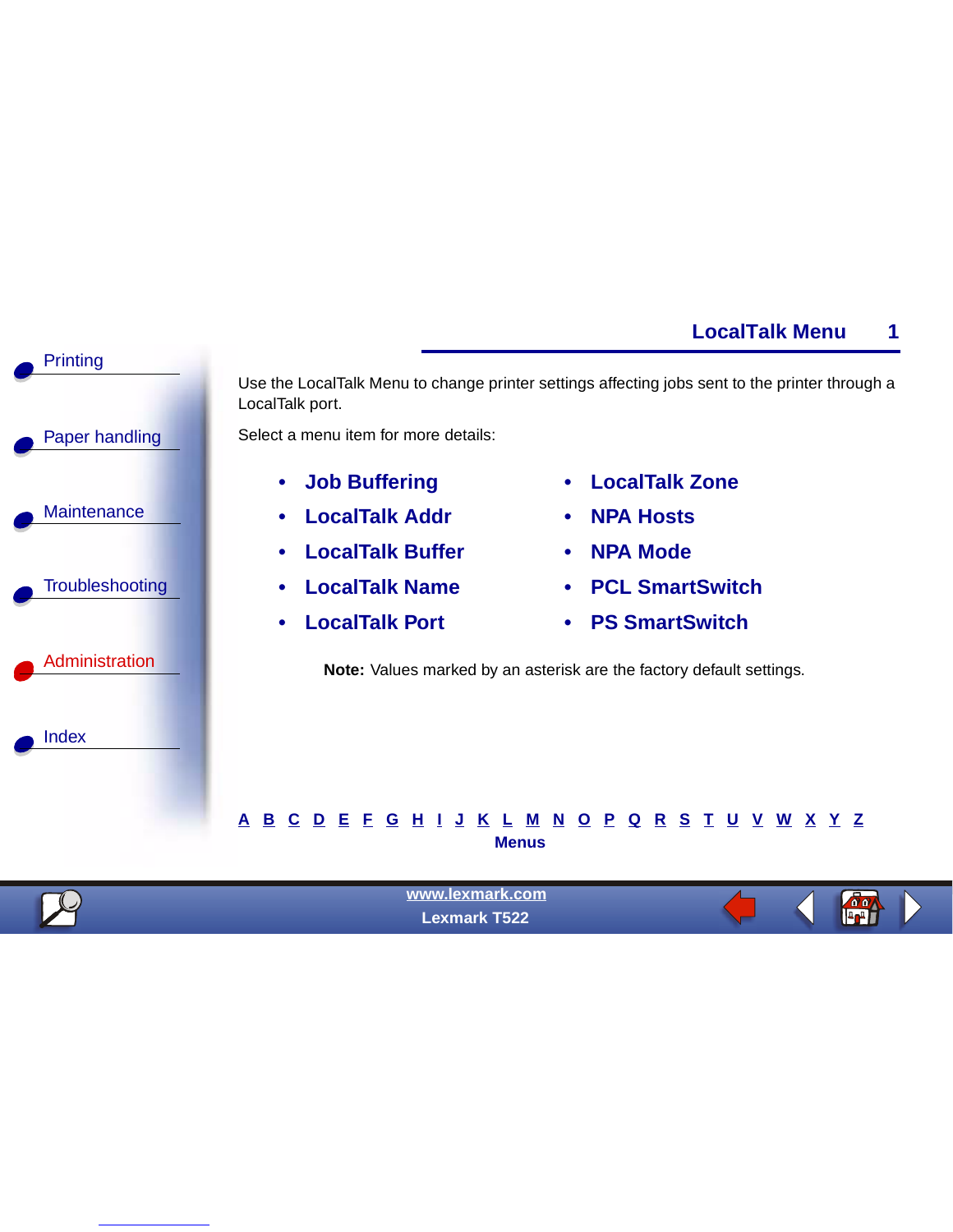

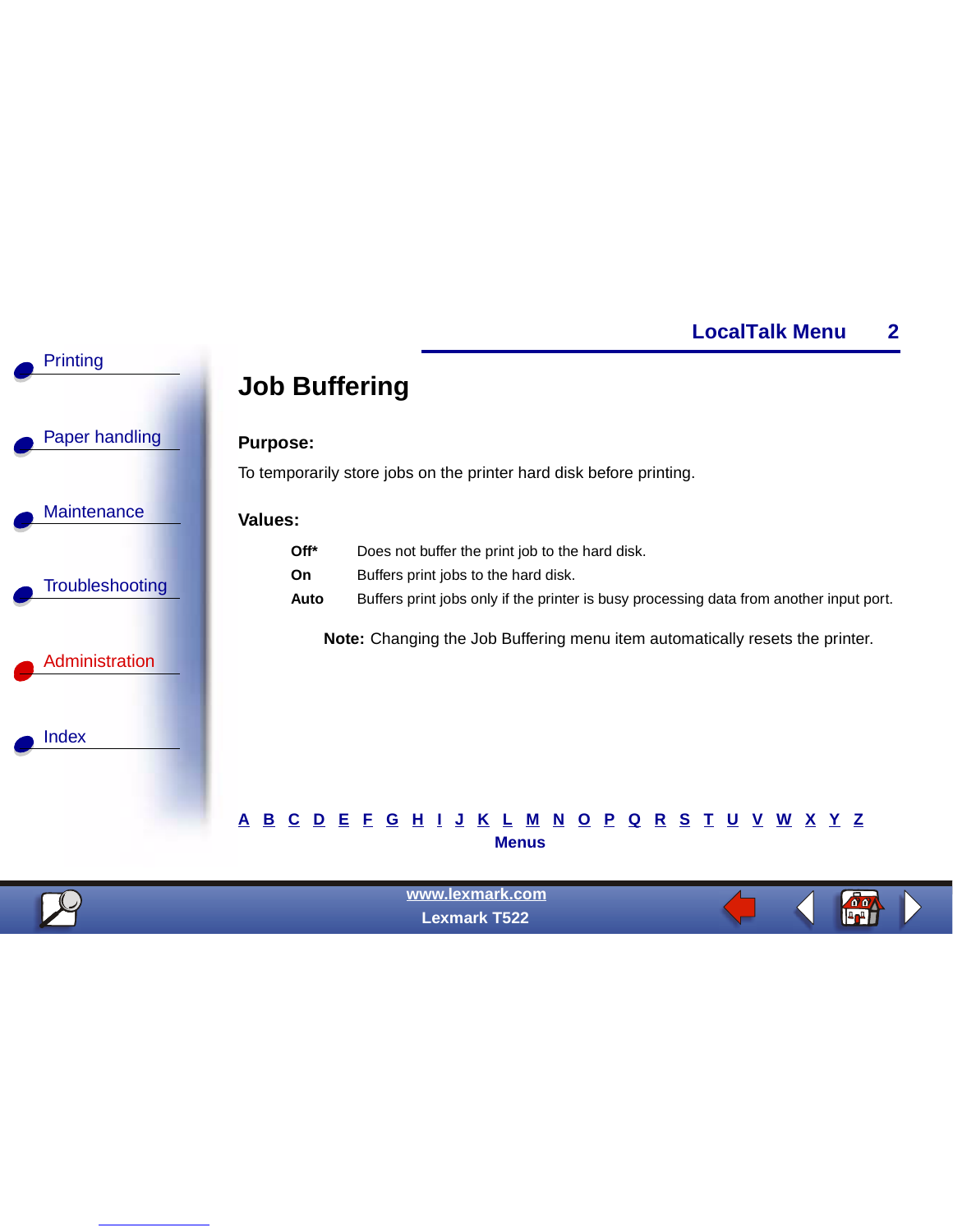

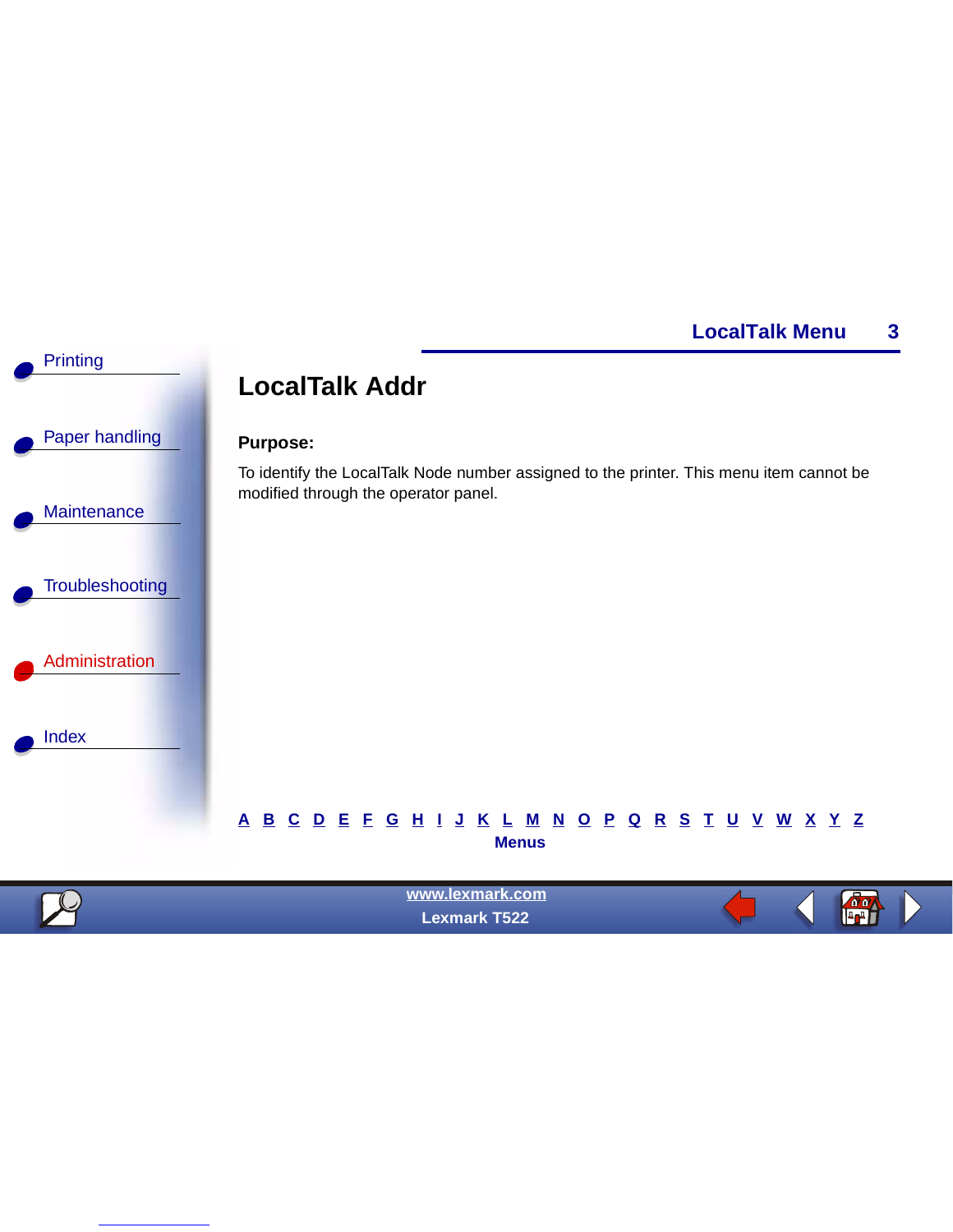**do** 



 **Lexmark T522**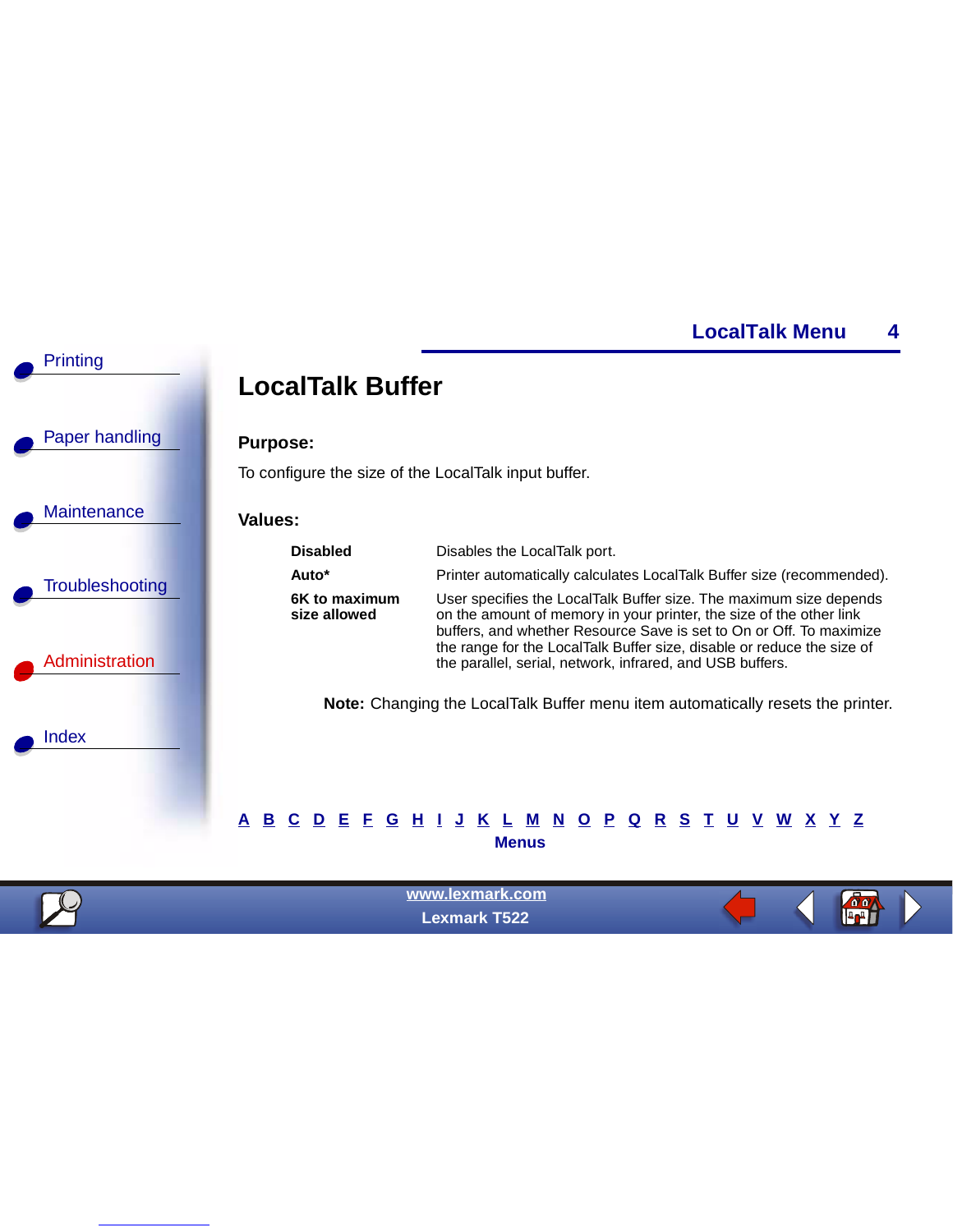

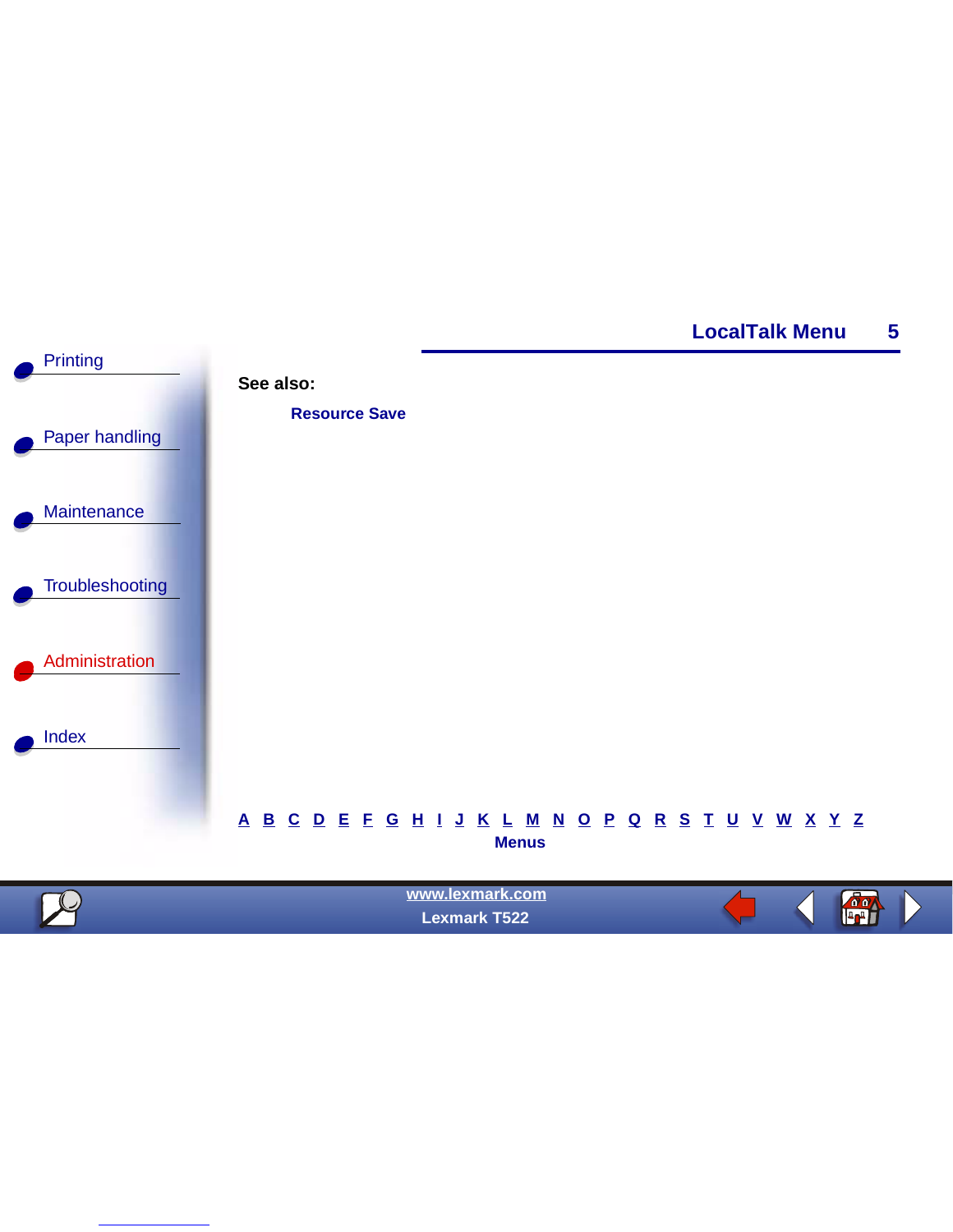



| $\sqrt{2}$ | www.lexmark.com<br><b>Lexmark T522</b> |  | $\sqrt{0}$<br>▊▌▟▗▟▐▌ |  |
|------------|----------------------------------------|--|-----------------------|--|
|            |                                        |  |                       |  |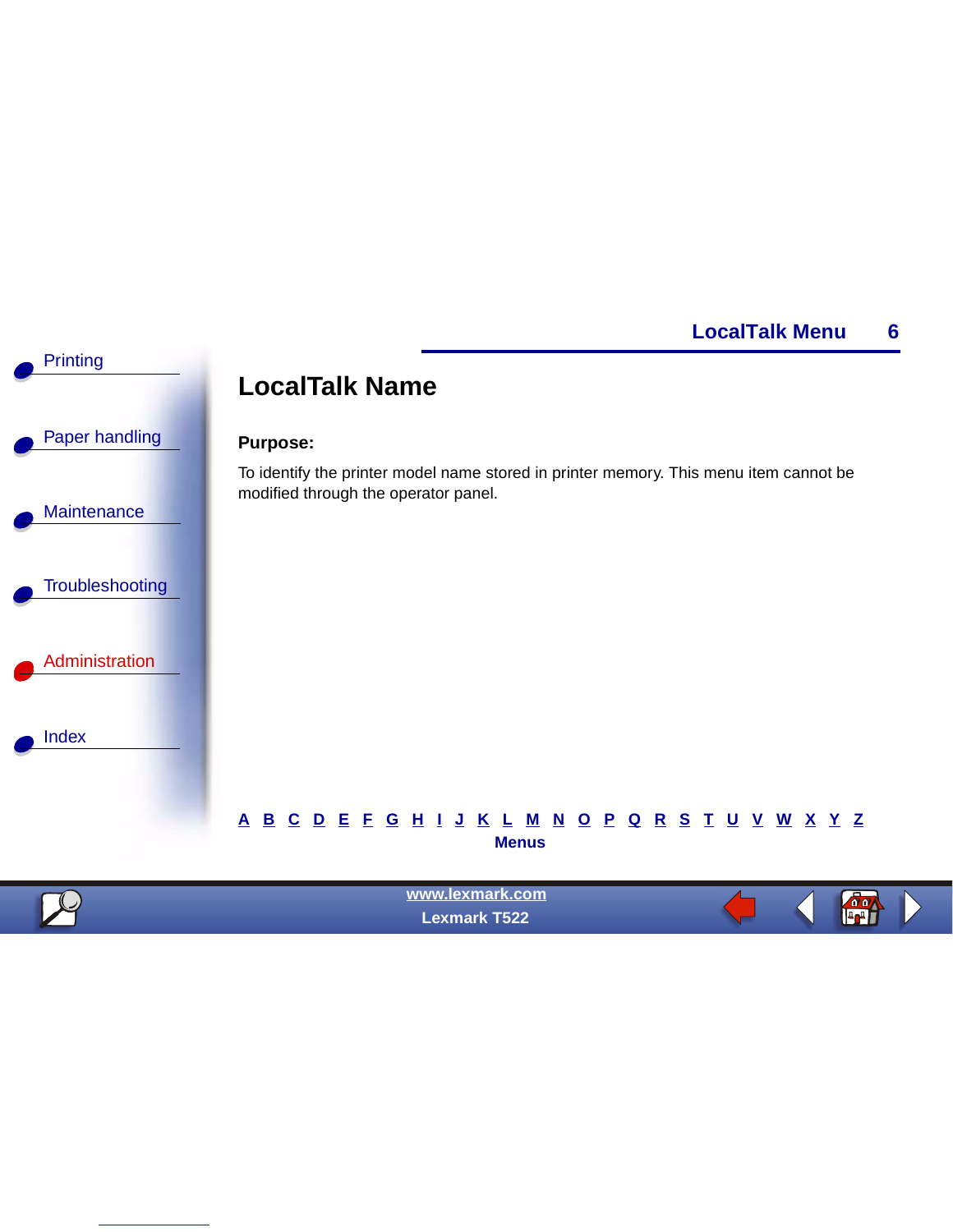

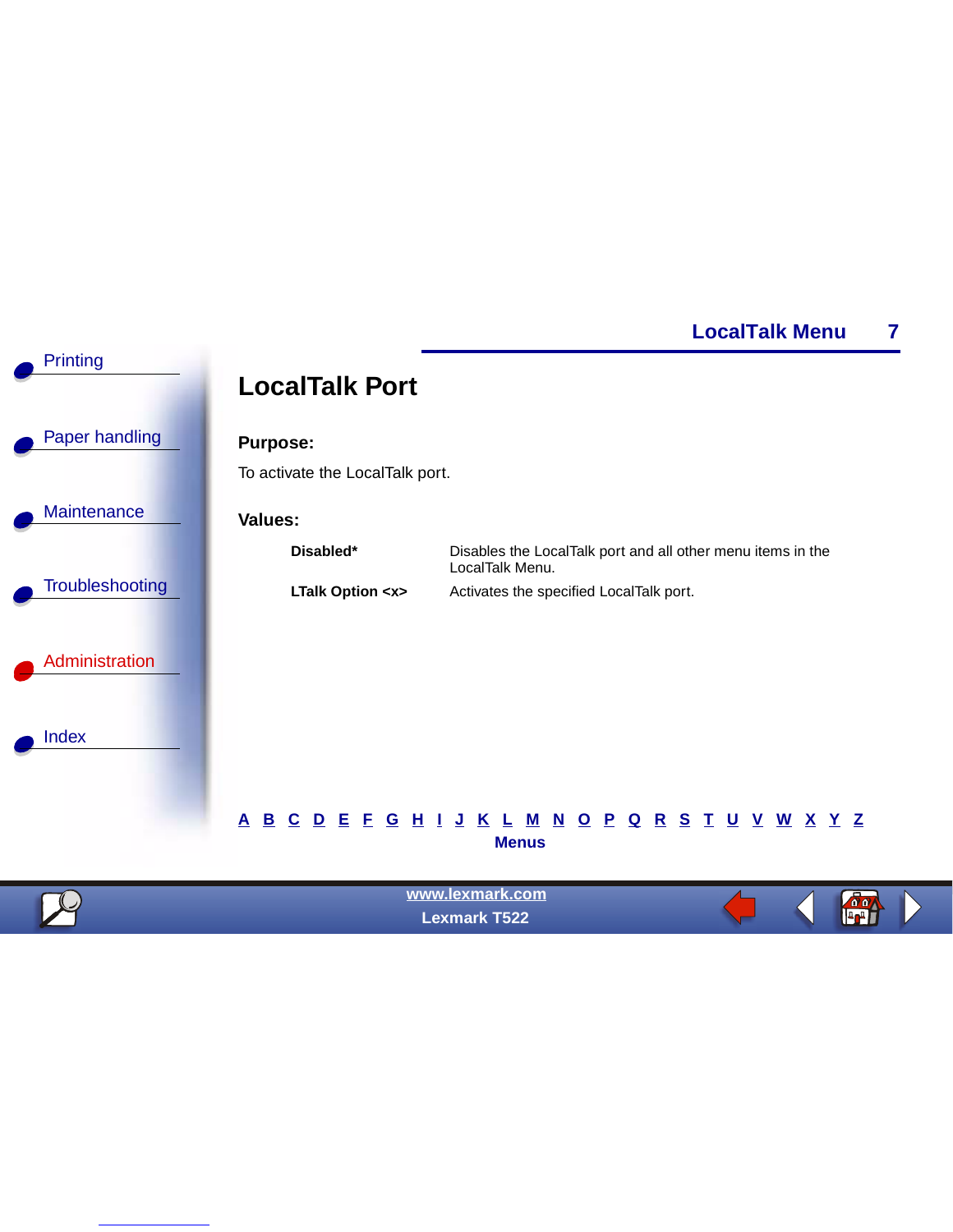

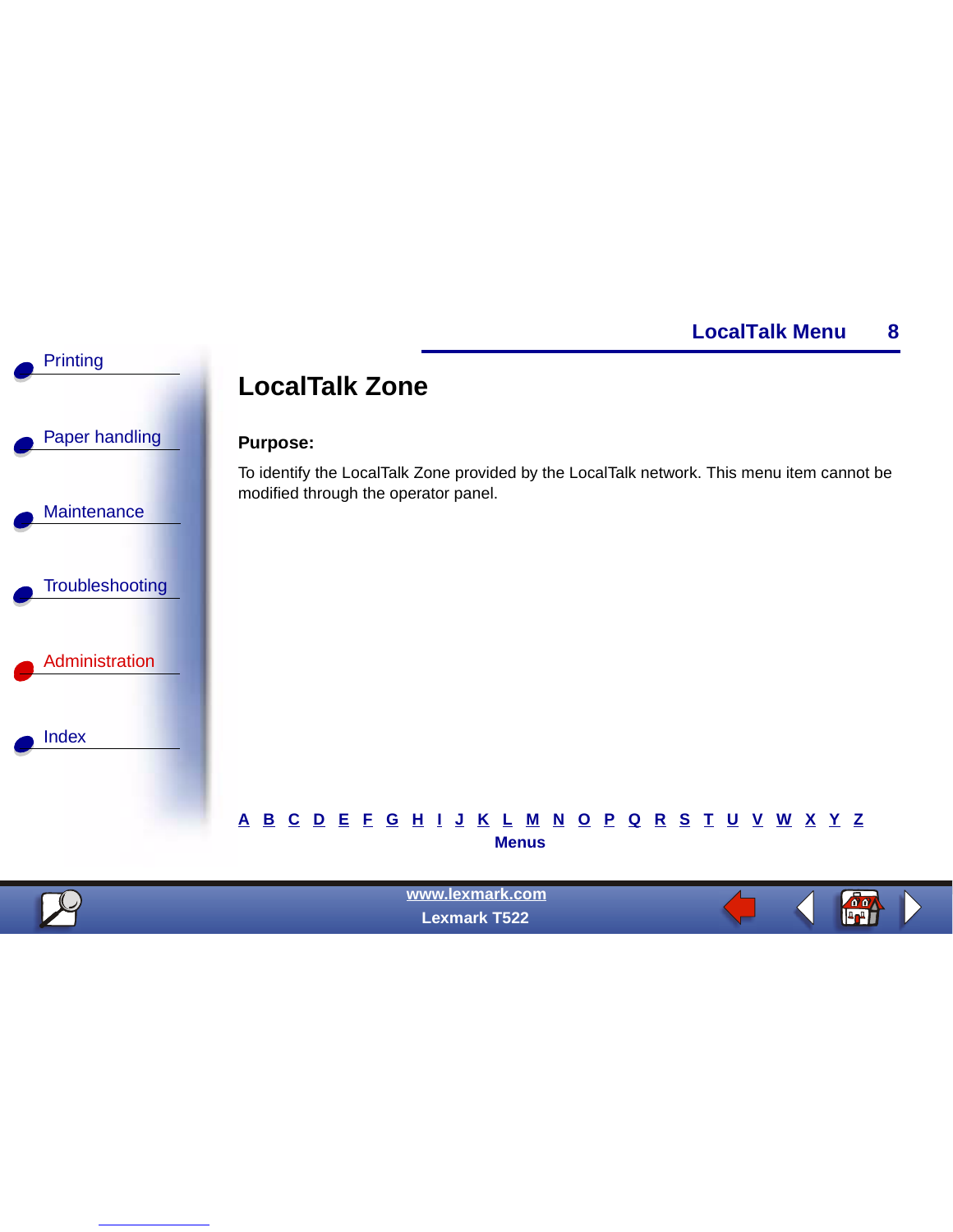

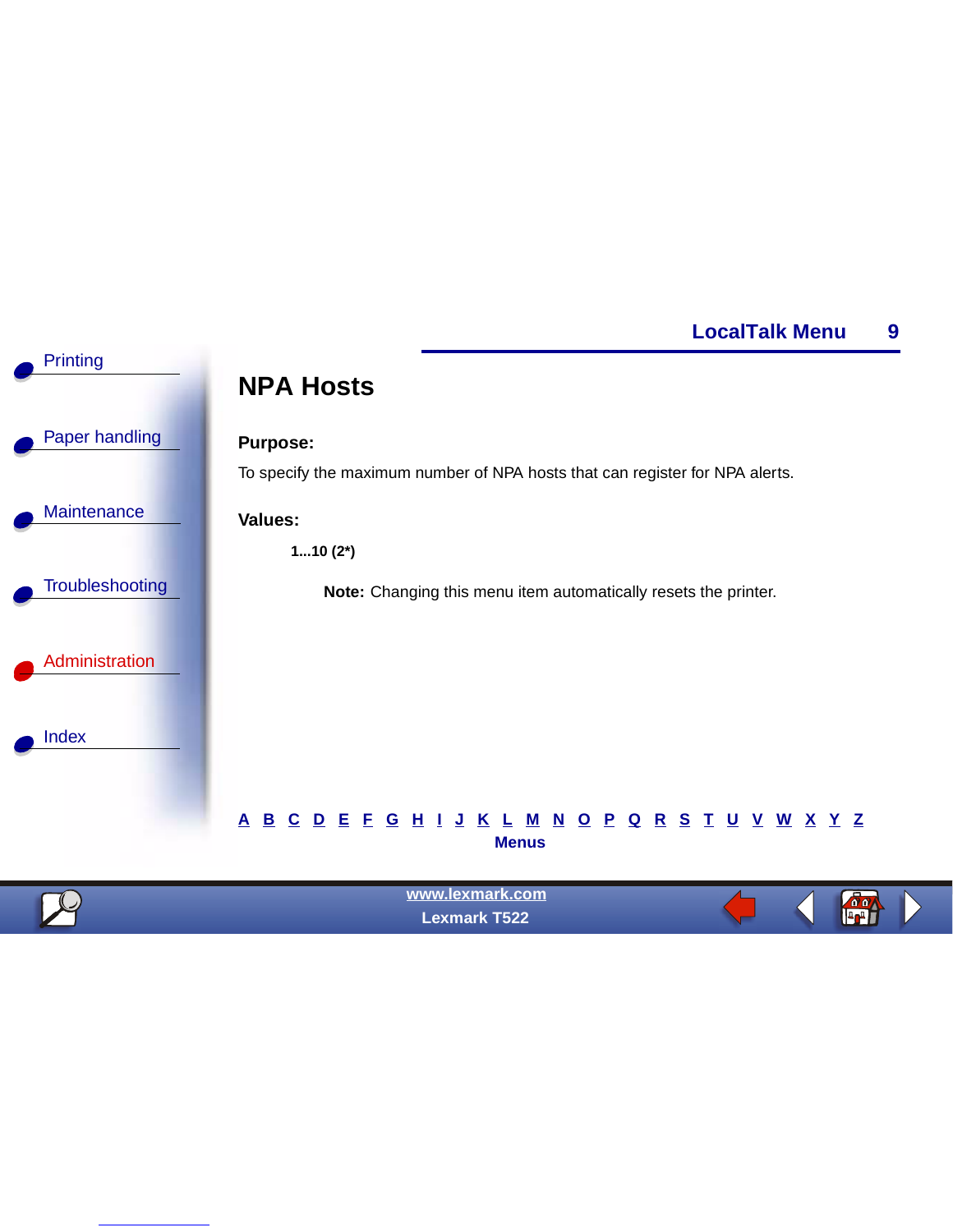

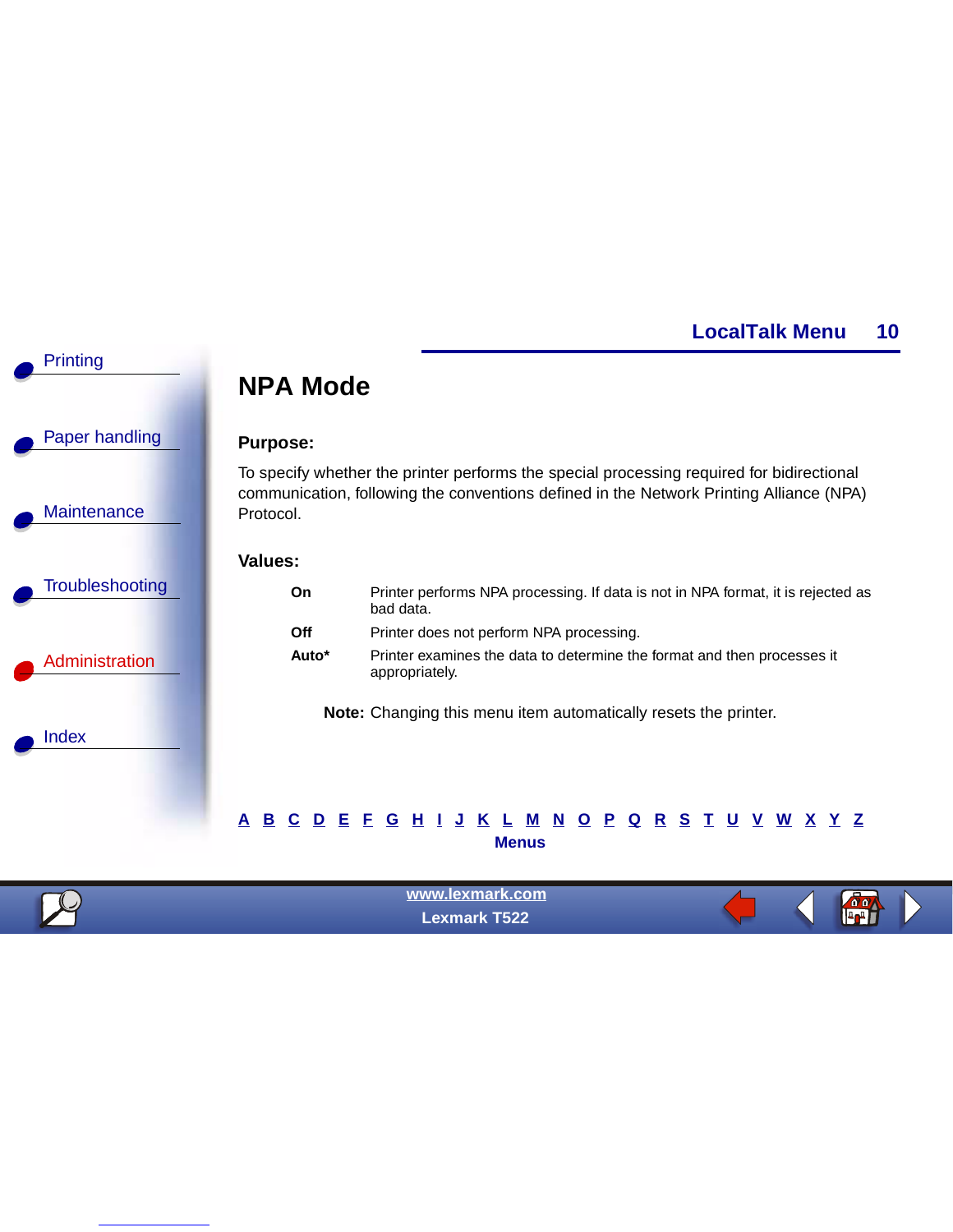$\frac{\partial \phi}{\partial \mathbf{r}}$ 



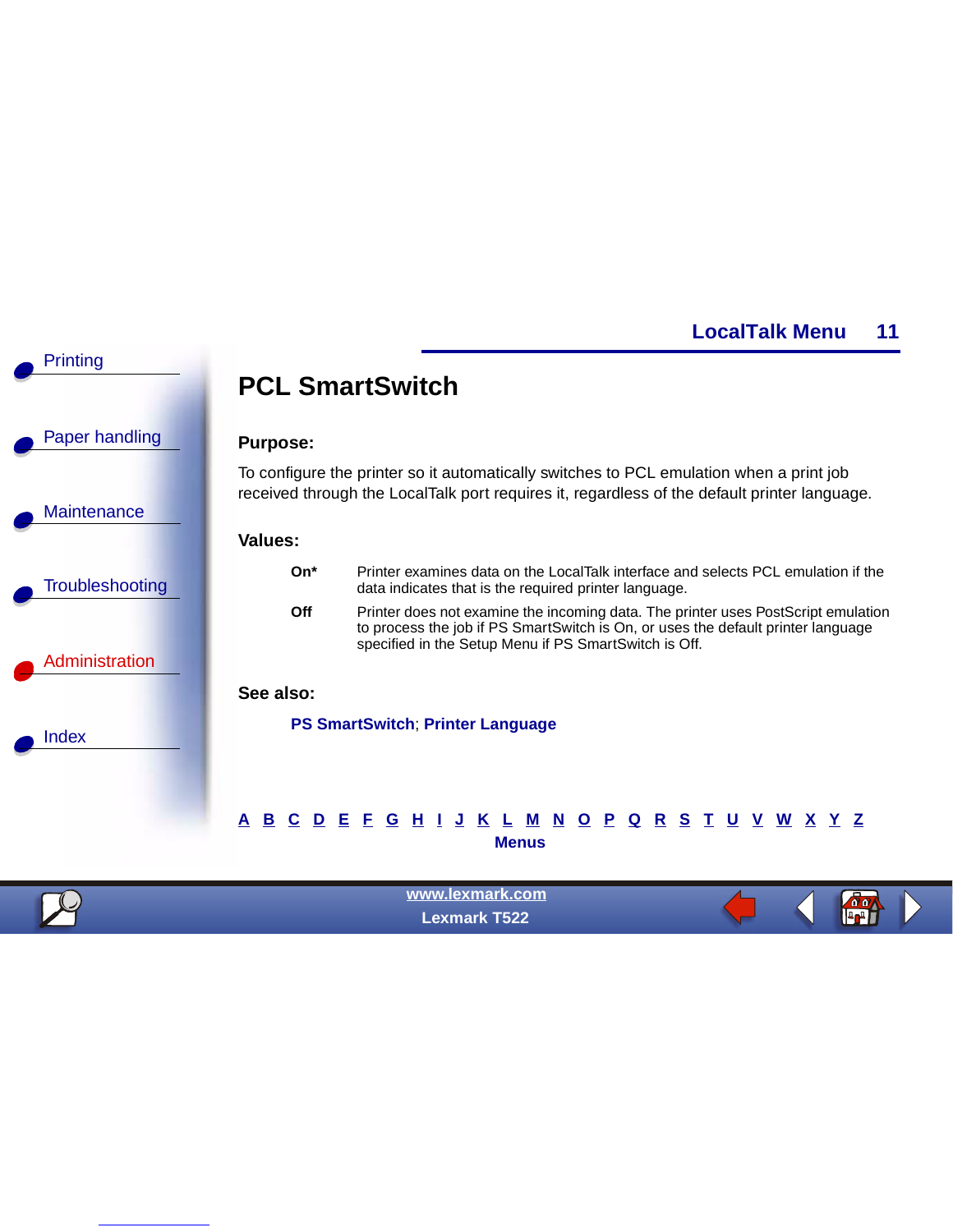